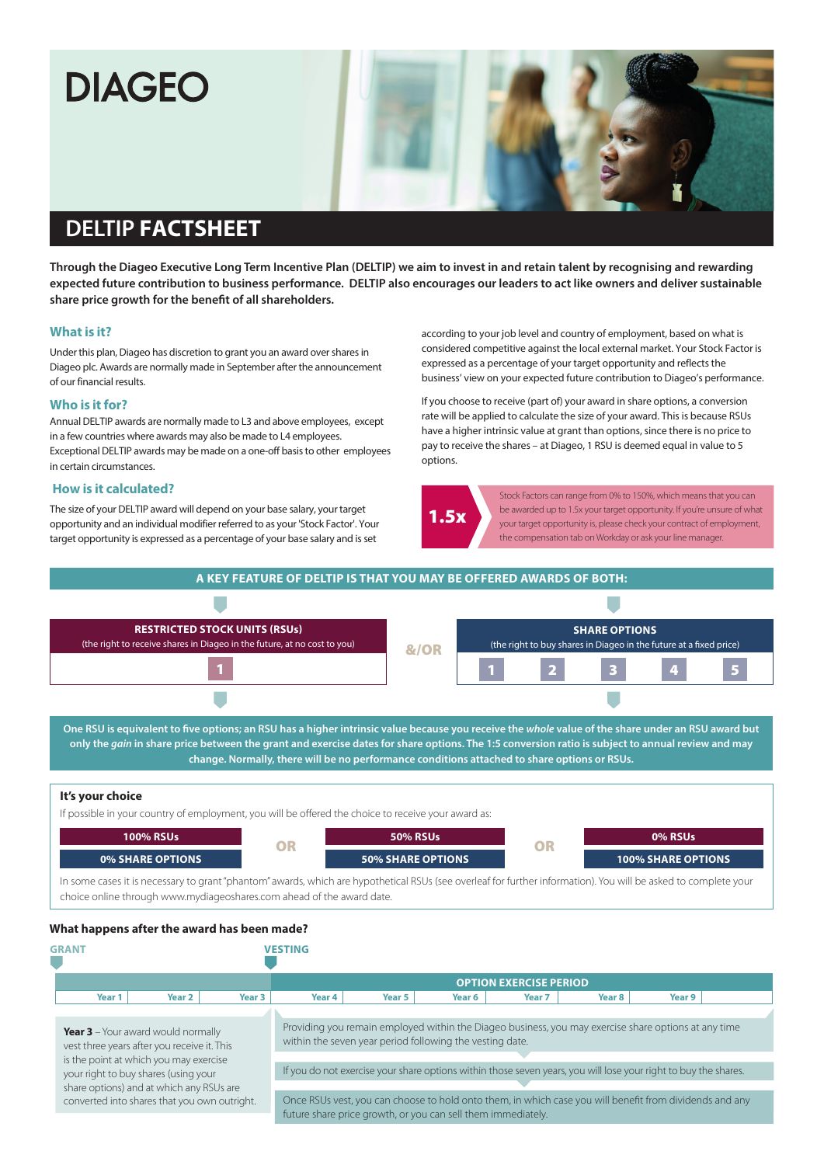# **DIAGEO**

# **DELTIP FACTSHEET**

**Through the Diageo Executive Long Term Incentive Plan (DELTIP) we aim to invest in and retain talent by recognising and rewarding expected future contribution to business performance. DELTIP also encourages our leaders to act like owners and deliver sustainable share price growth for the benefit of all shareholders.**

#### **What is it?**

Under this plan, Diageo has discretion to grant you an award over shares in Diageo plc. Awards are normally made in September after the announcement of our financial results.

#### **Who is it for?**

Annual DELTIP awards are normally made to L3 and above employees, except in a few countries where awards may also be made to L4 employees. Exceptional DELTIP awards may be made on a one-off basis to other employees in certain circumstances.

#### **How is it calculated?**

The size of your DELTIP award will depend on your base salary, your target opportunity and an individual modifier referred to as your 'Stock Factor'. Your target opportunity is expressed as a percentage of your base salary and is set

according to your job level and country of employment, based on what is considered competitive against the local external market. Your Stock Factor is expressed as a percentage of your target opportunity and reflects the business' view on your expected future contribution to Diageo's performance.

If you choose to receive (part of) your award in share options, a conversion rate will be applied to calculate the size of your award. This is because RSUs have a higher intrinsic value at grant than options, since there is no price to pay to receive the shares – at Diageo, 1 RSU is deemed equal in value to 5 options.



Stock Factors can range from 0% to 150%, which means that you can be awarded up to 1.5x your target opportunity. If you're unsure of what your target opportunity is, please check your contract of employment, the compensation tab on Workday or ask your line manager.



| <b>GRANT</b>                                                                                                                                                                                                           |                                              |        |                   | <b>VESTING</b>                                                                                                                                                          |        |        |        |        |        |  |
|------------------------------------------------------------------------------------------------------------------------------------------------------------------------------------------------------------------------|----------------------------------------------|--------|-------------------|-------------------------------------------------------------------------------------------------------------------------------------------------------------------------|--------|--------|--------|--------|--------|--|
|                                                                                                                                                                                                                        |                                              |        |                   | <b>OPTION EXERCISE PERIOD</b>                                                                                                                                           |        |        |        |        |        |  |
|                                                                                                                                                                                                                        | Year 1                                       | Year 2 | Year <sub>3</sub> | Year <sub>4</sub>                                                                                                                                                       | Year 5 | Year 6 | Year 7 | Year 8 | Year 9 |  |
| <b>Year 3</b> – Your award would normally<br>vest three years after you receive it. This<br>is the point at which you may exercise<br>your right to buy shares (using your<br>share options) and at which any RSUs are |                                              |        |                   | Providing you remain employed within the Diageo business, you may exercise share options at any time<br>within the seven year period following the vesting date.        |        |        |        |        |        |  |
|                                                                                                                                                                                                                        |                                              |        |                   | If you do not exercise your share options within those seven years, you will lose your right to buy the shares.                                                         |        |        |        |        |        |  |
|                                                                                                                                                                                                                        |                                              |        |                   |                                                                                                                                                                         |        |        |        |        |        |  |
|                                                                                                                                                                                                                        | converted into shares that you own outright. |        |                   | Once RSUs vest, you can choose to hold onto them, in which case you will benefit from dividends and any<br>future share price growth, or you can sell them immediately. |        |        |        |        |        |  |